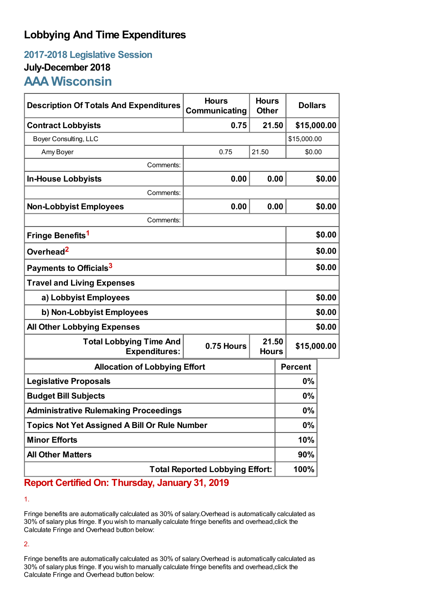## **Lobbying And Time Expenditures**

## **2017-2018 Legislative Session July-December 2018 AAA Wisconsin**

| <b>Description Of Totals And Expenditures</b>          | <b>Hours</b><br>Communicating | <b>Hours</b><br><b>Other</b> | <b>Dollars</b> |        |  |
|--------------------------------------------------------|-------------------------------|------------------------------|----------------|--------|--|
| <b>Contract Lobbyists</b>                              | 0.75                          | 21.50                        | \$15,000.00    |        |  |
| Boyer Consulting, LLC                                  |                               |                              | \$15,000.00    |        |  |
| Amy Boyer                                              | 0.75                          | 21.50                        | \$0.00         |        |  |
| Comments:                                              |                               |                              |                |        |  |
| <b>In-House Lobbyists</b>                              | 0.00                          | 0.00                         |                | \$0.00 |  |
| Comments:                                              |                               |                              |                |        |  |
| <b>Non-Lobbyist Employees</b>                          | 0.00                          | 0.00                         |                | \$0.00 |  |
| Comments:                                              |                               |                              |                |        |  |
| Fringe Benefits <sup>1</sup>                           |                               |                              | \$0.00         |        |  |
| Overhead <sup>2</sup>                                  |                               |                              | \$0.00         |        |  |
| Payments to Officials <sup>3</sup>                     |                               |                              |                | \$0.00 |  |
| <b>Travel and Living Expenses</b>                      |                               |                              |                |        |  |
| a) Lobbyist Employees                                  |                               |                              | \$0.00         |        |  |
| b) Non-Lobbyist Employees                              |                               |                              | \$0.00         |        |  |
| <b>All Other Lobbying Expenses</b>                     |                               |                              |                | \$0.00 |  |
| <b>Total Lobbying Time And</b><br><b>Expenditures:</b> | 0.75 Hours                    | 21.50<br><b>Hours</b>        | \$15,000.00    |        |  |
| <b>Allocation of Lobbying Effort</b>                   |                               |                              | <b>Percent</b> |        |  |
| <b>Legislative Proposals</b>                           |                               |                              | 0%             |        |  |
| <b>Budget Bill Subjects</b>                            |                               |                              | 0%             |        |  |
| <b>Administrative Rulemaking Proceedings</b>           |                               |                              | 0%             |        |  |
| <b>Topics Not Yet Assigned A Bill Or Rule Number</b>   |                               |                              | 0%             |        |  |
| <b>Minor Efforts</b>                                   |                               |                              | 10%            |        |  |
| <b>All Other Matters</b>                               |                               |                              | 90%            |        |  |
| <b>Total Reported Lobbying Effort:</b>                 |                               |                              | 100%           |        |  |

**Report Certified On: Thursday, January 31, 2019**

1.

Fringe benefits are automatically calculated as 30% of salary.Overhead is automatically calculated as 30% of salary plus fringe. If you wish to manually calculate fringe benefits and overhead,click the Calculate Fringe and Overhead button below:

2.

Fringe benefits are automatically calculated as 30% of salary.Overhead is automatically calculated as 30% of salary plus fringe. If you wish to manually calculate fringe benefits and overhead,click the Calculate Fringe and Overhead button below: